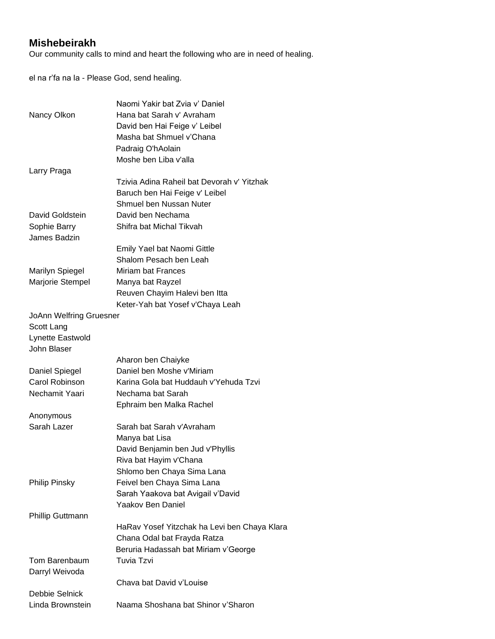## **Mishebeirakh**

Our community calls to mind and heart the following who are in need of healing.

el na r'fa na la - Please God, send healing.

|                         | Naomi Yakir bat Zvia y' Daniel               |
|-------------------------|----------------------------------------------|
| Nancy Olkon             | Hana bat Sarah v' Avraham                    |
|                         | David ben Hai Feige v' Leibel                |
|                         | Masha bat Shmuel v'Chana                     |
|                         | Padraig O'hAolain                            |
|                         | Moshe ben Liba v'alla                        |
| Larry Praga             |                                              |
|                         | Tzivia Adina Raheil bat Devorah v' Yitzhak   |
|                         |                                              |
|                         | Baruch ben Hai Feige v' Leibel               |
|                         | Shmuel ben Nussan Nuter                      |
| David Goldstein         | David ben Nechama                            |
| Sophie Barry            | Shifra bat Michal Tikvah                     |
| James Badzin            |                                              |
|                         | Emily Yael bat Naomi Gittle                  |
|                         | Shalom Pesach ben Leah                       |
| <b>Marilyn Spiegel</b>  | Miriam bat Frances                           |
| Marjorie Stempel        | Manya bat Rayzel                             |
|                         | Reuven Chayim Halevi ben Itta                |
|                         | Keter-Yah bat Yosef v'Chaya Leah             |
| JoAnn Welfring Gruesner |                                              |
| Scott Lang              |                                              |
| Lynette Eastwold        |                                              |
| John Blaser             |                                              |
|                         | Aharon ben Chaiyke                           |
| Daniel Spiegel          | Daniel ben Moshe v'Miriam                    |
| Carol Robinson          | Karina Gola bat Huddauh v'Yehuda Tzvi        |
| Nechamit Yaari          | Nechama bat Sarah                            |
|                         | Ephraim ben Malka Rachel                     |
| Anonymous               |                                              |
| Sarah Lazer             | Sarah bat Sarah v'Avraham                    |
|                         |                                              |
|                         | Manya bat Lisa                               |
|                         | David Benjamin ben Jud v'Phyllis             |
|                         | Riva bat Hayim v'Chana                       |
|                         | Shlomo ben Chaya Sima Lana                   |
| <b>Philip Pinsky</b>    | Feivel ben Chaya Sima Lana                   |
|                         | Sarah Yaakova bat Avigail v'David            |
|                         | Yaakov Ben Daniel                            |
| <b>Phillip Guttmann</b> |                                              |
|                         | HaRav Yosef Yitzchak ha Levi ben Chaya Klara |
|                         | Chana Odal bat Frayda Ratza                  |
|                         | Beruria Hadassah bat Miriam v'George         |
| Tom Barenbaum           | Tuvia Tzvi                                   |
| Darryl Weivoda          |                                              |
|                         | Chava bat David v'Louise                     |
| Debbie Selnick          |                                              |
| Linda Brownstein        | Naama Shoshana bat Shinor v'Sharon           |
|                         |                                              |